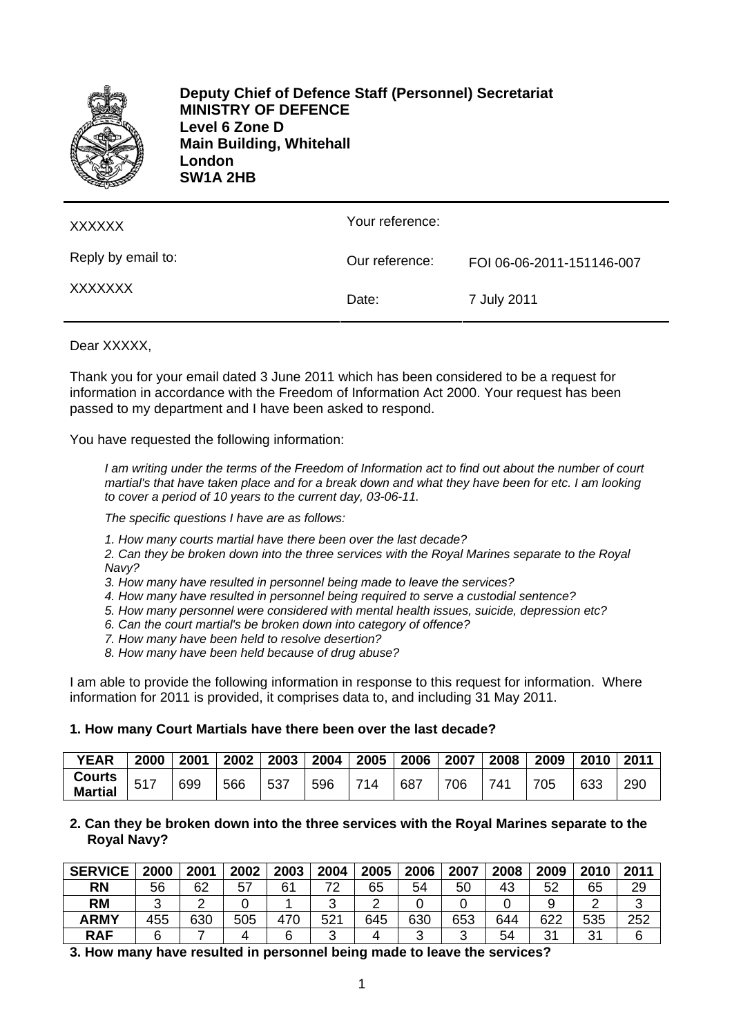

**Deputy Chief of Defence Staff (Personnel) Secretariat MINISTRY OF DEFENCE Level 6 Zone D Main Building, Whitehall London SW1A 2HB** 

| <b>XXXXXX</b>      | Your reference: |                           |
|--------------------|-----------------|---------------------------|
| Reply by email to: | Our reference:  | FOI 06-06-2011-151146-007 |
| XXXXXXX            | Date:           | 7 July 2011               |

### Dear XXXXX.

Thank you for your email dated 3 June 2011 which has been considered to be a request for information in accordance with the Freedom of Information Act 2000. Your request has been passed to my department and I have been asked to respond.

You have requested the following information:

*I am writing under the terms of the Freedom of Information act to find out about the number of court martial's that have taken place and for a break down and what they have been for etc. I am looking to cover a period of 10 years to the current day, 03-06-11.* 

*The specific questions I have are as follows:* 

- *1. How many courts martial have there been over the last decade?*
- *2. Can they be broken down into the three services with the Royal Marines separate to the Royal Navy?*
- *3. How many have resulted in personnel being made to leave the services?*
- *4. How many have resulted in personnel being required to serve a custodial sentence?*
- *5. How many personnel were considered with mental health issues, suicide, depression etc?*
- *6. Can the court martial's be broken down into category of offence?*
- *7. How many have been held to resolve desertion?*
- *8. How many have been held because of drug abuse?*

I am able to provide the following information in response to this request for information. Where information for 2011 is provided, it comprises data to, and including 31 May 2011.

#### **1. How many Court Martials have there been over the last decade?**

| <b>YEAR</b>                     | 2000 | 2001 | 2002 | 2003 | 2004 | 2005 | 2006 | 2007 | 2008 | 2009 | 2010 | 201 <sup>4</sup> |
|---------------------------------|------|------|------|------|------|------|------|------|------|------|------|------------------|
| <b>Courts</b><br><b>Martial</b> |      | 699  | 566  | 537  | 596  | 714  | 687  | 706  | 741  | 705  | 633  | 290              |

### **2. Can they be broken down into the three services with the Royal Marines separate to the Royal Navy?**

| <b>SERVICE</b> | 2000 | 2001 | 2002 | 2003 | 2004   | 2005 | 2006   | 2007 | 2008 | 2009 | 2010 | 2011 |
|----------------|------|------|------|------|--------|------|--------|------|------|------|------|------|
| <b>RN</b>      | 56   | 62   | 57   | 61   | 72     | 65   | 54     | 50   | 43   | 52   | 65   | 29   |
| <b>RM</b>      |      |      |      |      | ັ      |      |        |      |      |      |      | ັ    |
| <b>ARMY</b>    | 455  | 630  | 505  | 470  | 521    | 645  | 630    | 653  | 644  | 622  | 535  | 252  |
| <b>RAF</b>     |      |      |      |      | ⌒<br>ື |      | ົ<br>ື | ົ    | 54   | 31   | 31   |      |

**3. How many have resulted in personnel being made to leave the services?**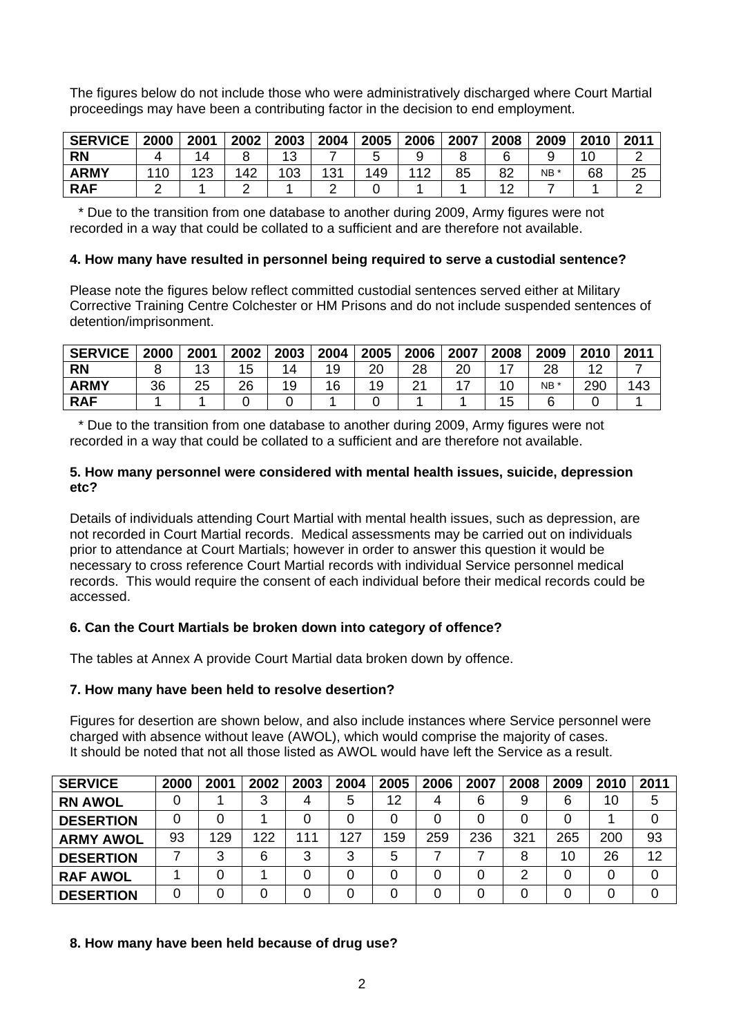The figures below do not include those who were administratively discharged where Court Martial proceedings may have been a contributing factor in the decision to end employment.

| <b>SERVICE</b> | 2000 | 2001     | 2002 | 2003 | 2004 | 2005 | 2006 | 2007 | 2008 | 2009 | 2010 | 2011 |
|----------------|------|----------|------|------|------|------|------|------|------|------|------|------|
| <b>RN</b>      |      |          |      | 4 ຕ  |      |      |      |      |      |      |      |      |
| <b>ARMY</b>    |      | ററ<br>∠J | 142  | 103  | 131  | 149  | 110  | 85   | 82   | NB * | 68   | 25   |
| <b>RAF</b>     |      |          |      |      |      |      |      |      |      |      |      |      |

 \* Due to the transition from one database to another during 2009, Army figures were not recorded in a way that could be collated to a sufficient and are therefore not available.

### **4. How many have resulted in personnel being required to serve a custodial sentence?**

Please note the figures below reflect committed custodial sentences served either at Military Corrective Training Centre Colchester or HM Prisons and do not include suspended sentences of detention/imprisonment.

| <b>SERVICE</b> | 2000 | 2001 | 2002 | 2003 | 2004 | 2005     | 2006 | 2007 | 2008 | 2009 | 2010   | 2011 |
|----------------|------|------|------|------|------|----------|------|------|------|------|--------|------|
| <b>RN</b>      |      | ٮ    |      | 14   | 19   | ററ<br>∠∪ | 28   | 20   | –    | 28   | $\sim$ |      |
| <b>ARMY</b>    | 36   | 25   | 26   | 19   | 16   | 19       | ິ    |      |      | NB * | 290    | 143  |
| <b>RAF</b>     |      |      |      |      |      |          |      |      | J    |      |        |      |

 \* Due to the transition from one database to another during 2009, Army figures were not recorded in a way that could be collated to a sufficient and are therefore not available.

### **5. How many personnel were considered with mental health issues, suicide, depression etc?**

Details of individuals attending Court Martial with mental health issues, such as depression, are not recorded in Court Martial records. Medical assessments may be carried out on individuals prior to attendance at Court Martials; however in order to answer this question it would be necessary to cross reference Court Martial records with individual Service personnel medical records. This would require the consent of each individual before their medical records could be accessed.

### **6. Can the Court Martials be broken down into category of offence?**

The tables at Annex A provide Court Martial data broken down by offence.

### **7. How many have been held to resolve desertion?**

Figures for desertion are shown below, and also include instances where Service personnel were charged with absence without leave (AWOL), which would comprise the majority of cases. It should be noted that not all those listed as AWOL would have left the Service as a result.

| <b>SERVICE</b>   | 2000 | 2001 | 2002 | 2003 | 2004 | 2005 | 2006 | 2007 | 2008 | 2009 | 2010 | 2011 |
|------------------|------|------|------|------|------|------|------|------|------|------|------|------|
| <b>RN AWOL</b>   |      |      | 3    | 4    | 5    | 12   | 4    | 6    | 9    | 6    | 10   | 5    |
| <b>DESERTION</b> |      |      |      |      | 0    |      |      |      |      |      |      |      |
| <b>ARMY AWOL</b> | 93   | 129  | 122  | 111  | 127  | 159  | 259  | 236  | 321  | 265  | 200  | 93   |
| <b>DESERTION</b> |      | 3    | 6    | 3    | 3    | 5    |      |      | 8    | 10   | 26   | 12   |
| <b>RAF AWOL</b>  |      |      |      | 0    | 0    |      |      |      | 2    |      |      |      |
| <b>DESERTION</b> |      |      |      |      |      |      |      |      |      |      |      |      |

### **8. How many have been held because of drug use?**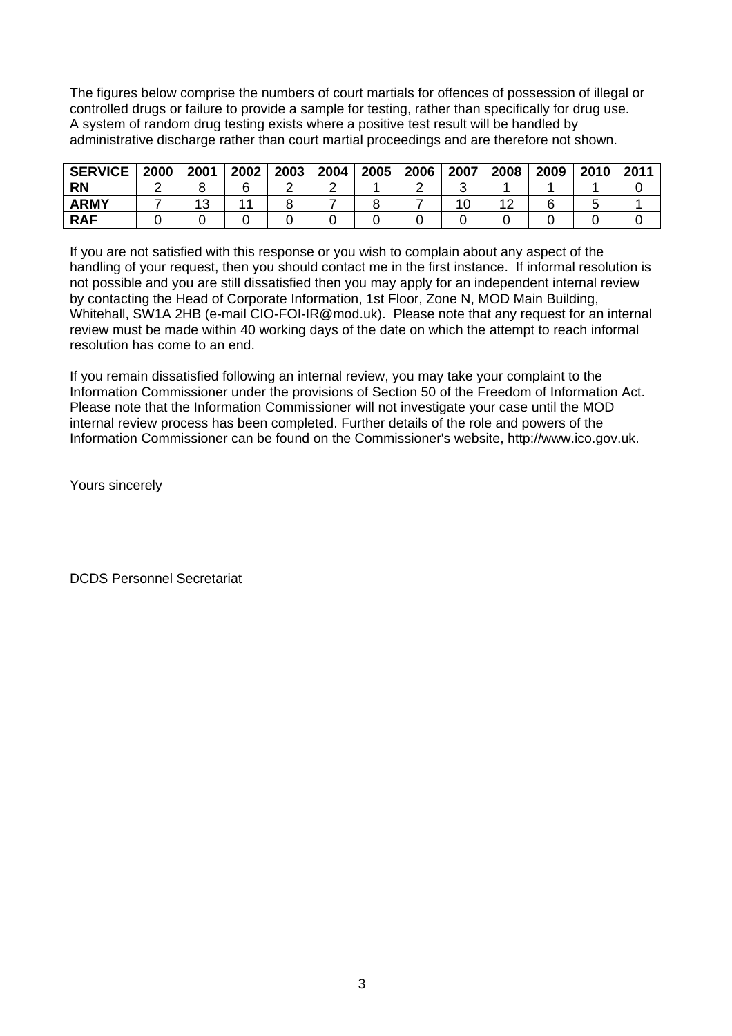The figures below comprise the numbers of court martials for offences of possession of illegal or controlled drugs or failure to provide a sample for testing, rather than specifically for drug use. A system of random drug testing exists where a positive test result will be handled by administrative discharge rather than court martial proceedings and are therefore not shown.

| <b>SERVICE</b> | 2000 | 2001 | 2002 | 2003 | 2004 | 2005 | 2006 | 2007 | 2008 | 2009 | 2010 | 2011 |
|----------------|------|------|------|------|------|------|------|------|------|------|------|------|
| <b>RN</b>      |      |      |      |      |      |      |      |      |      |      |      |      |
| <b>ARMY</b>    |      | د ا  |      |      |      |      |      | 10   |      |      |      |      |
| <b>RAF</b>     |      |      |      |      |      |      |      |      |      |      |      |      |

If you are not satisfied with this response or you wish to complain about any aspect of the handling of your request, then you should contact me in the first instance. If informal resolution is not possible and you are still dissatisfied then you may apply for an independent internal review by contacting the Head of Corporate Information, 1st Floor, Zone N, MOD Main Building, Whitehall, SW1A 2HB (e-mail [CIO-FOI-IR@mod.uk\)](mailto:CIO-FOI-IR@mod.uk). Please note that any request for an internal review must be made within 40 working days of the date on which the attempt to reach informal resolution has come to an end.

If you remain dissatisfied following an internal review, you may take your complaint to the Information Commissioner under the provisions of Section 50 of the Freedom of Information Act. Please note that the Information Commissioner will not investigate your case until the MOD internal review process has been completed. Further details of the role and powers of the Information Commissioner can be found on the Commissioner's website, [http://www.ico.gov.uk.](http://www.ico.gov.uk/)

Yours sincerely

DCDS Personnel Secretariat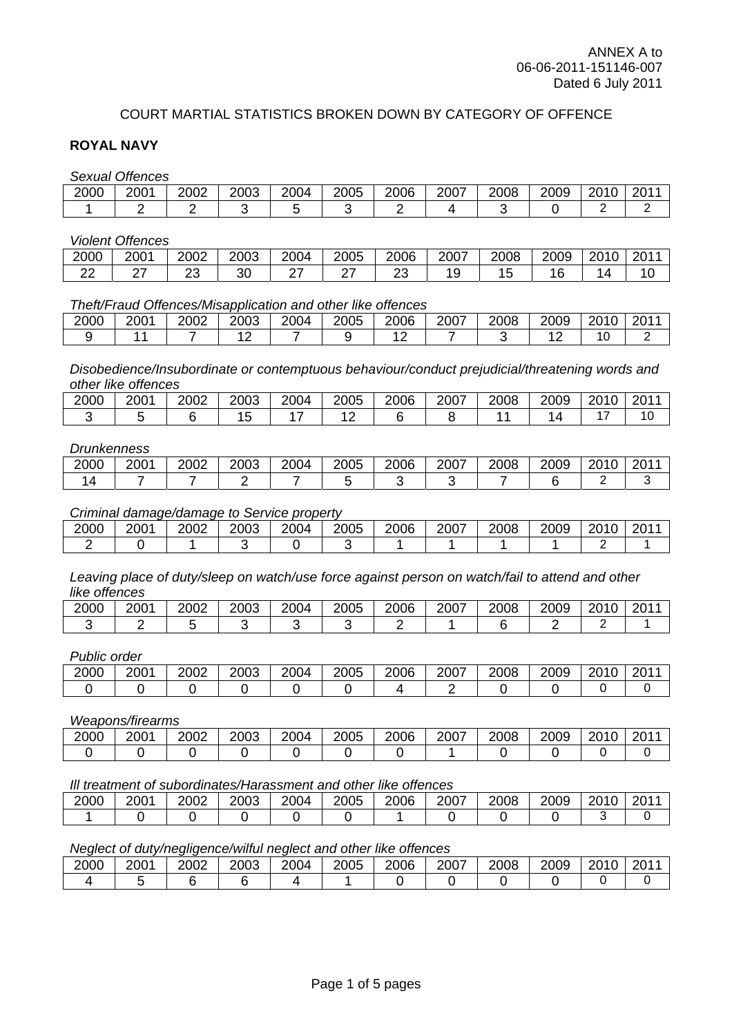### COURT MARTIAL STATISTICS BROKEN DOWN BY CATEGORY OF OFFENCE

### **ROYAL NAVY**

*Sexual Offences* 

| ______ | _____<br>______<br>____ |      |      |      |      |      |      |      |      |      |      |
|--------|-------------------------|------|------|------|------|------|------|------|------|------|------|
| 2000   | 2001                    | 2002 | 2003 | 2004 | 2005 | 2006 | 2007 | 2008 | 2009 | 2010 | 2011 |
|        |                         |      |      |      |      |      |      |      |      |      |      |

#### *Violent Offences*

| 2000    | 2001 | 2002    | 2003    | 2004 | 2005 | 2006    | 2007 | 2008 | 2009 | 2010<br>∠∪ | 201<br>∠∪ |
|---------|------|---------|---------|------|------|---------|------|------|------|------------|-----------|
| nn<br>▵ | -    | ົ<br>∠◡ | ົ<br>ა∪ |      |      | nr<br>∼ | 19   | י ו  |      |            | 10        |

### *Theft/Fraud Offences/Misapplication and other like offences*

| 2000 | 2001 | 2002 | 2003        | 2004 | 2005 | 2006 | 2007 | 2008 | 2009 | 2010 | 201' |
|------|------|------|-------------|------|------|------|------|------|------|------|------|
|      |      |      | $\sim$<br>_ |      |      |      |      |      |      | л.   |      |

*Disobedience/Insubordinate or contemptuous behaviour/conduct prejudicial/threatening words and other like offences* 

| 2000 | 2001 | 2002 | 2003 | 2004 | 2005 | 2006 | 2007 | 2008 | 2009 | 0010<br>- U | 201 |
|------|------|------|------|------|------|------|------|------|------|-------------|-----|
|      |      |      | u    |      |      |      |      |      |      |             | . v |

#### *Drunkenness*

| 2000 | 2001 | 2002 | 2003 | 2004 | 2005 | 2006 | 2007 | 2008 | 2009 | 2010<br>∠∪ | 2011 |
|------|------|------|------|------|------|------|------|------|------|------------|------|
|      |      |      |      |      |      |      |      |      |      |            |      |

### *Criminal damage/damage to Service property*

| 2000 | 2001 | 2002 | 2003 | 2004 | 2005 | 2006 | 2007 | 2008 | 2009 | 2010<br>∠∪ | 2011 |
|------|------|------|------|------|------|------|------|------|------|------------|------|
|      |      |      |      |      |      |      |      |      |      |            |      |

*Leaving place of duty/sleep on watch/use force against person on watch/fail to attend and other like offences* 

| 2000 | 2001 | 2002 | 2003 | 2004 | 2005 | 2006 | 2007 | 2008 | 2009 | 2010 | 2011 |
|------|------|------|------|------|------|------|------|------|------|------|------|
|      |      |      |      |      |      |      |      |      |      |      |      |

#### *Public order*

| 2000 | 2001 | 2002 | 2003 | 2004 | 2005 | 2006 | 2007 | 2008 | 2009 | 0010<br>∠∪ | 201<br>-U L |
|------|------|------|------|------|------|------|------|------|------|------------|-------------|
|      |      |      |      |      |      |      |      |      |      |            |             |

#### *Weapons/firearms*

| 2000 | 2001 | 2002 | 2003 | 2004 | 2005 | 2006 | 2007 | 2008 | 2009 | 2010<br>∠∪ | 201 |
|------|------|------|------|------|------|------|------|------|------|------------|-----|
|      |      |      |      |      |      |      |      |      |      |            |     |

#### *Ill treatment of subordinates/Harassment and other like offences*

| 2000 | 2001 | 2002 | 2003 | 2004 | 2005 | 2006 | 2007 | 2008 | 2009 | 2010 | 2011<br>∠ບ |
|------|------|------|------|------|------|------|------|------|------|------|------------|
|      |      |      |      |      |      |      |      |      |      |      |            |

## *Neglect of duty/negligence/wilful neglect and other like offences*

|      |      | . .<br>. . |      |      |      |      |      |      |      |               |             |
|------|------|------------|------|------|------|------|------|------|------|---------------|-------------|
| 2000 | 2001 | 2002       | 2003 | 2004 | 2005 | 2006 | 2007 | 2008 | 2009 | 201<br>$\sim$ | 2011<br>2U. |
|      |      |            |      |      |      |      |      |      |      |               |             |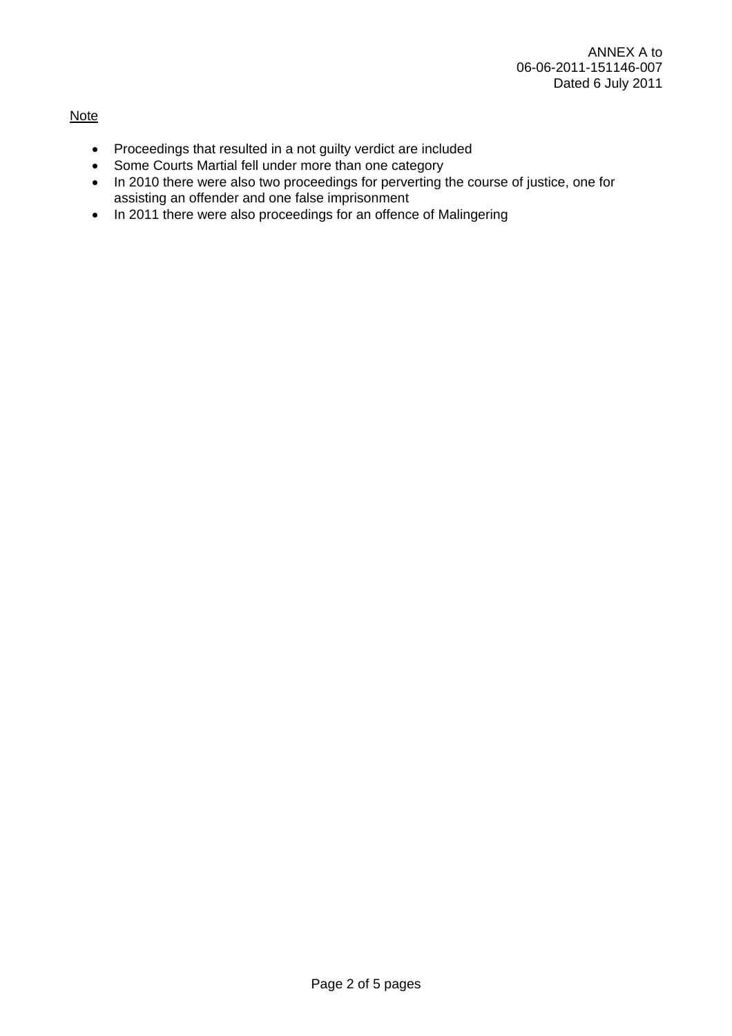### Note

- Proceedings that resulted in a not guilty verdict are included
- Some Courts Martial fell under more than one category
- In 2010 there were also two proceedings for perverting the course of justice, one for assisting an offender and one false imprisonment
- In 2011 there were also proceedings for an offence of Malingering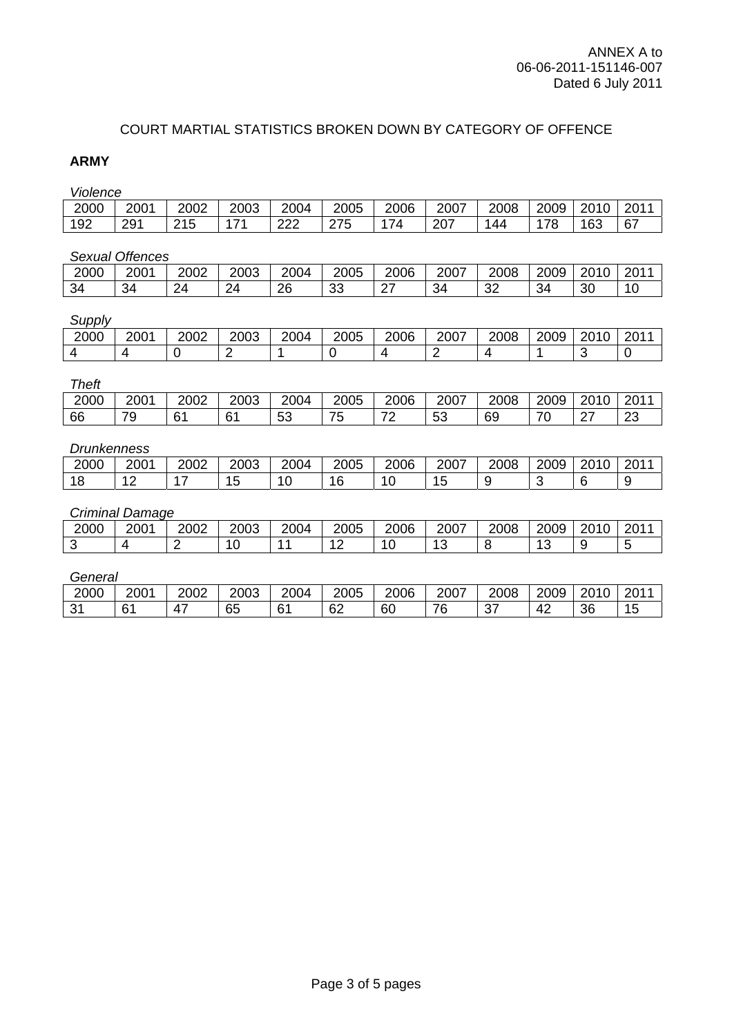# COURT MARTIAL STATISTICS BROKEN DOWN BY CATEGORY OF OFFENCE

# **ARMY**

*Violence* 

| 2000 | 2001 | 2002 | 2003 | 2004 | 2005 | 2006 | 2007 | 2008 | 2009 | 2010 | 201 |
|------|------|------|------|------|------|------|------|------|------|------|-----|
| 192  | 291  | 215  | 474  | 222  | 275  | 74   | 207  | 144  | 178  | 163  | 67  |
|      |      |      |      |      |      |      |      |      |      |      |     |

*Sexual Offences* 

| 2000 | $200^{\circ}$ | 2002        | 2003 | 2004 | 2005     | 2006           | 2007 | 2008         | 2009 | 2010 | 201<br>2U             |
|------|---------------|-------------|------|------|----------|----------------|------|--------------|------|------|-----------------------|
| 34   | 34            | $2\pi$<br>▱ | 24   | 26   | ৭৭<br>⊽⊽ | ~~<br><u>.</u> | 34   | $\sim$<br>ےں | 34   | 30   | $\overline{1}$<br>ی ۱ |

#### *Supply*

| 2000 | 2001 | 2002 | 2003 | 2004 | 2005 | 2006 | 2007 | 2008 | 2009 | 2010 | 201<br>ں∠ |
|------|------|------|------|------|------|------|------|------|------|------|-----------|
|      |      |      |      |      |      |      |      |      |      |      |           |

#### *Theft*

| -------- |      |              |                        |           |         |        |              |      |                |        |              |
|----------|------|--------------|------------------------|-----------|---------|--------|--------------|------|----------------|--------|--------------|
| 2000     | 2001 | 2002         | 2003                   | 2004      | 2005    | 2006   | 2007         | 2008 | 2009           | 2010   | 201.<br>- 20 |
| 66       | 79   | $\sim$<br>б. | $\sim$<br>$\mathbf{O}$ | r o<br>ഄഄ | フ斥<br>ັ | ⇁<br>∼ | $\sim$<br>vu | 69   | 7 <sup>c</sup> | $\sim$ | $\sim$<br>ت  |

#### *Drunkenness*

| 2000 | 2001 | 2002 | 2003 | 2004 | 2005            | 2006    | 2007 | 2008 | 2009 | 2010<br>ΊU<br>∸∽ | 201 |
|------|------|------|------|------|-----------------|---------|------|------|------|------------------|-----|
| u    |      | -    | ∼    |      | $\sqrt{2}$<br>O | 1ı<br>╰ | v    |      |      |                  |     |

### *Criminal Damage*

| 2000            | 2001 | 2002 | 2003            | 2004 | 2005                                   | 2006              | 2007 | 2008 | 2009       | 2010 | 201 |
|-----------------|------|------|-----------------|------|----------------------------------------|-------------------|------|------|------------|------|-----|
| $\sqrt{2}$<br>ັ |      | -    | $\epsilon$<br>u |      | $\overline{\phantom{0}}$<br>. <u>.</u> | $\epsilon$<br>-11 | v    |      | $\epsilon$ |      | ∼   |

#### *General*

| 2000        | 2001 | 2002      | 2003                          | 2004        | 2005    | 2006 | 2007                                        | 2008          | 2009               | 0.010<br>10<br>∠∪ | 201<br>້  |
|-------------|------|-----------|-------------------------------|-------------|---------|------|---------------------------------------------|---------------|--------------------|-------------------|-----------|
| $\sim$<br>ັ | υ    | 47<br>. . | $\sim$ $\sim$<br>$\sim$<br>ಀಀ | $\sim$<br>U | ഹ<br>୰∠ | 60   | $\overline{\phantom{a}}$<br>$\sqrt{2}$<br>È | $\sim$<br>ັບເ | $4^\circ$<br>- - - | 36                | 1F<br>1 v |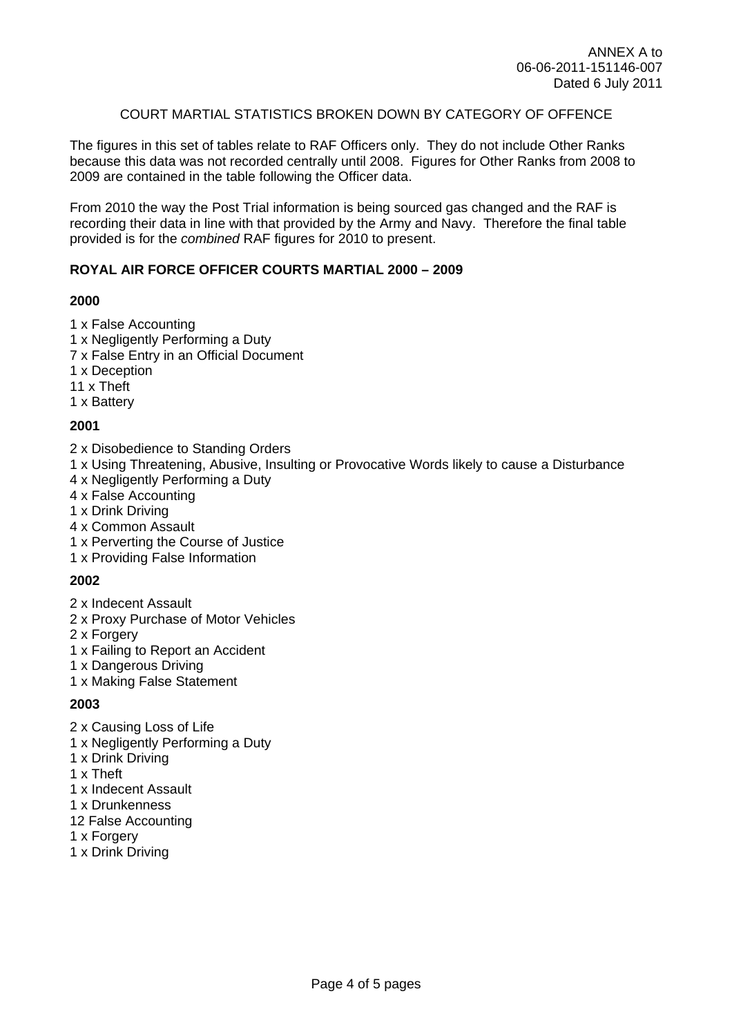### COURT MARTIAL STATISTICS BROKEN DOWN BY CATEGORY OF OFFENCE

The figures in this set of tables relate to RAF Officers only. They do not include Other Ranks because this data was not recorded centrally until 2008. Figures for Other Ranks from 2008 to 2009 are contained in the table following the Officer data.

From 2010 the way the Post Trial information is being sourced gas changed and the RAF is recording their data in line with that provided by the Army and Navy. Therefore the final table provided is for the *combined* RAF figures for 2010 to present.

### **ROYAL AIR FORCE OFFICER COURTS MARTIAL 2000 – 2009**

### **2000**

- 1 x False Accounting
- 1 x Negligently Performing a Duty
- 7 x False Entry in an Official Document
- 1 x Deception
- 11 x Theft
- 1 x Battery

### **2001**

- 2 x Disobedience to Standing Orders
- 1 x Using Threatening, Abusive, Insulting or Provocative Words likely to cause a Disturbance
- 4 x Negligently Performing a Duty
- 4 x False Accounting
- 1 x Drink Driving
- 4 x Common Assault
- 1 x Perverting the Course of Justice
- 1 x Providing False Information

### **2002**

- 2 x Indecent Assault
- 2 x Proxy Purchase of Motor Vehicles
- 2 x Forgery
- 1 x Failing to Report an Accident
- 1 x Dangerous Driving
- 1 x Making False Statement

### **2003**

- 2 x Causing Loss of Life
- 1 x Negligently Performing a Duty
- 1 x Drink Driving
- 1 x Theft
- 1 x Indecent Assault
- 1 x Drunkenness
- 12 False Accounting
- 1 x Forgery
- 1 x Drink Driving